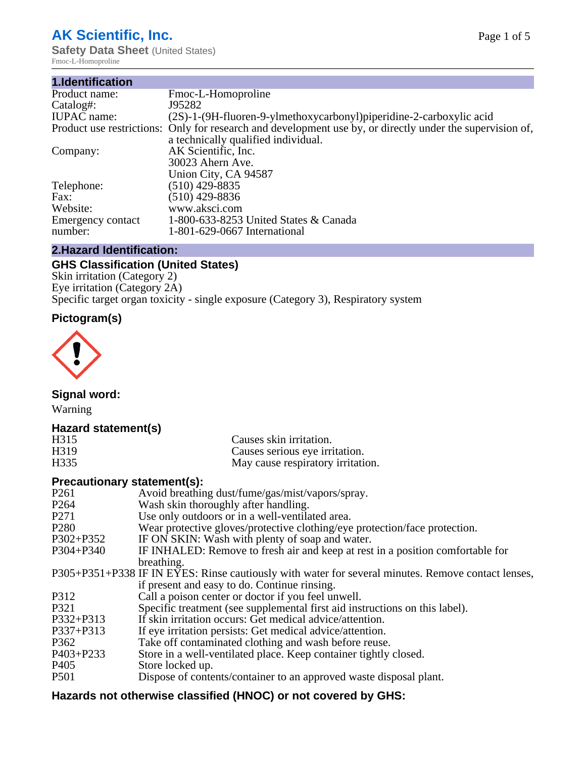# **AK Scientific, Inc.**

**Safety Data Sheet (United States)** Fmoc-L-Homoproline

| 1.Identification   |                                                                                                           |
|--------------------|-----------------------------------------------------------------------------------------------------------|
| Product name:      | Fmoc-L-Homoproline                                                                                        |
| Catalog#:          | J95282                                                                                                    |
| <b>IUPAC</b> name: | (2S)-1-(9H-fluoren-9-ylmethoxycarbonyl)piperidine-2-carboxylic acid                                       |
|                    | Product use restrictions: Only for research and development use by, or directly under the supervision of, |
|                    | a technically qualified individual.                                                                       |
| Company:           | AK Scientific, Inc.                                                                                       |
|                    | 30023 Ahern Ave.                                                                                          |
|                    | Union City, CA 94587                                                                                      |
| Telephone:         | $(510)$ 429-8835                                                                                          |
| Fax:               | $(510)$ 429-8836                                                                                          |
| Website:           | www.aksci.com                                                                                             |
| Emergency contact  | 1-800-633-8253 United States & Canada                                                                     |
| number:            | 1-801-629-0667 International                                                                              |

# **2.Hazard Identification:**

# **GHS Classification (United States)**

Skin irritation (Category 2) Eye irritation (Category 2A) Specific target organ toxicity - single exposure (Category 3), Respiratory system

# **Pictogram(s)**



**Signal word:**

Warning

## **Hazard statement(s)**

| H <sub>315</sub>  | Causes skin irritation.           |
|-------------------|-----------------------------------|
| H <sub>3</sub> 19 | Causes serious eye irritation.    |
| H335              | May cause respiratory irritation. |

## **Precautionary statement(s):**

| P <sub>261</sub> | Avoid breathing dust/fume/gas/mist/vapors/spray.                                                   |
|------------------|----------------------------------------------------------------------------------------------------|
| P <sub>264</sub> | Wash skin thoroughly after handling.                                                               |
| P <sub>271</sub> | Use only outdoors or in a well-ventilated area.                                                    |
| P <sub>280</sub> | Wear protective gloves/protective clothing/eye protection/face protection.                         |
| P302+P352        | IF ON SKIN: Wash with plenty of soap and water.                                                    |
| $P304 + P340$    | IF INHALED: Remove to fresh air and keep at rest in a position comfortable for                     |
|                  | breathing.                                                                                         |
|                  | P305+P351+P338 IF IN EYES: Rinse cautiously with water for several minutes. Remove contact lenses, |
|                  | if present and easy to do. Continue rinsing.                                                       |
| P312             | Call a poison center or doctor if you feel unwell.                                                 |
| P321             | Specific treatment (see supplemental first aid instructions on this label).                        |
| P332+P313        | If skin irritation occurs: Get medical advice/attention.                                           |
| P337+P313        | If eye irritation persists: Get medical advice/attention.                                          |
| P362             | Take off contaminated clothing and wash before reuse.                                              |
| $P403 + P233$    | Store in a well-ventilated place. Keep container tightly closed.                                   |
| P <sub>405</sub> | Store locked up.                                                                                   |
| <b>P501</b>      | Dispose of contents/container to an approved waste disposal plant.                                 |
|                  |                                                                                                    |

# **Hazards not otherwise classified (HNOC) or not covered by GHS:**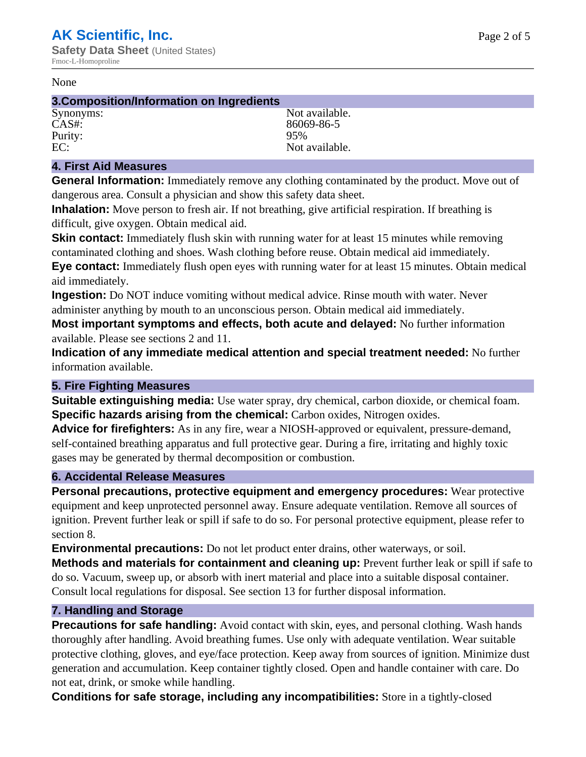#### None

#### **3.Composition/Information on Ingredients**

Purity:<br>EC:

Synonyms: Not available. CAS#: 86069-86-5<br>Purity: 95% 95% Not available.

## **4. First Aid Measures**

**General Information:** Immediately remove any clothing contaminated by the product. Move out of dangerous area. Consult a physician and show this safety data sheet.

**Inhalation:** Move person to fresh air. If not breathing, give artificial respiration. If breathing is difficult, give oxygen. Obtain medical aid.

**Skin contact:** Immediately flush skin with running water for at least 15 minutes while removing contaminated clothing and shoes. Wash clothing before reuse. Obtain medical aid immediately. **Eye contact:** Immediately flush open eyes with running water for at least 15 minutes. Obtain medical aid immediately.

**Ingestion:** Do NOT induce vomiting without medical advice. Rinse mouth with water. Never administer anything by mouth to an unconscious person. Obtain medical aid immediately.

**Most important symptoms and effects, both acute and delayed:** No further information available. Please see sections 2 and 11.

**Indication of any immediate medical attention and special treatment needed:** No further information available.

## **5. Fire Fighting Measures**

**Suitable extinguishing media:** Use water spray, dry chemical, carbon dioxide, or chemical foam. **Specific hazards arising from the chemical:** Carbon oxides, Nitrogen oxides.

**Advice for firefighters:** As in any fire, wear a NIOSH-approved or equivalent, pressure-demand, self-contained breathing apparatus and full protective gear. During a fire, irritating and highly toxic gases may be generated by thermal decomposition or combustion.

## **6. Accidental Release Measures**

**Personal precautions, protective equipment and emergency procedures:** Wear protective equipment and keep unprotected personnel away. Ensure adequate ventilation. Remove all sources of ignition. Prevent further leak or spill if safe to do so. For personal protective equipment, please refer to section 8.

**Environmental precautions:** Do not let product enter drains, other waterways, or soil.

**Methods and materials for containment and cleaning up:** Prevent further leak or spill if safe to do so. Vacuum, sweep up, or absorb with inert material and place into a suitable disposal container. Consult local regulations for disposal. See section 13 for further disposal information.

## **7. Handling and Storage**

**Precautions for safe handling:** Avoid contact with skin, eyes, and personal clothing. Wash hands thoroughly after handling. Avoid breathing fumes. Use only with adequate ventilation. Wear suitable protective clothing, gloves, and eye/face protection. Keep away from sources of ignition. Minimize dust generation and accumulation. Keep container tightly closed. Open and handle container with care. Do not eat, drink, or smoke while handling.

**Conditions for safe storage, including any incompatibilities:** Store in a tightly-closed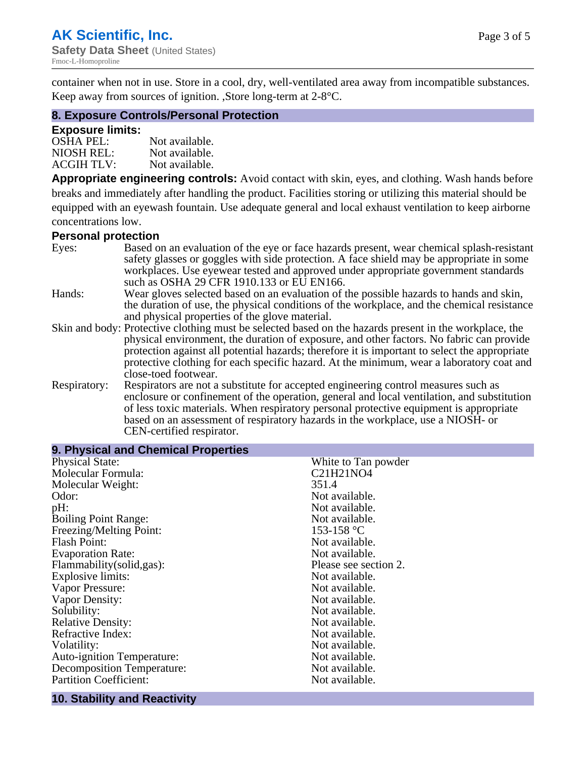container when not in use. Store in a cool, dry, well-ventilated area away from incompatible substances. Keep away from sources of ignition. ,Store long-term at 2-8°C.

## **8. Exposure Controls/Personal Protection**

#### **Exposure limits:**

| <b>OSHA PEL:</b>  | Not available. |
|-------------------|----------------|
| NIOSH REL:        | Not available. |
| <b>ACGIH TLV:</b> | Not available. |

**Appropriate engineering controls:** Avoid contact with skin, eyes, and clothing. Wash hands before breaks and immediately after handling the product. Facilities storing or utilizing this material should be equipped with an eyewash fountain. Use adequate general and local exhaust ventilation to keep airborne concentrations low.

#### **Personal protection**

| Eyes:        | Based on an evaluation of the eye or face hazards present, wear chemical splash-resistant<br>safety glasses or goggles with side protection. A face shield may be appropriate in some |
|--------------|---------------------------------------------------------------------------------------------------------------------------------------------------------------------------------------|
|              | workplaces. Use eyewear tested and approved under appropriate government standards<br>such as OSHA 29 CFR 1910.133 or EU EN166.                                                       |
| Hands:       | Wear gloves selected based on an evaluation of the possible hazards to hands and skin,                                                                                                |
|              | the duration of use, the physical conditions of the workplace, and the chemical resistance                                                                                            |
|              | and physical properties of the glove material.                                                                                                                                        |
|              | Skin and body: Protective clothing must be selected based on the hazards present in the workplace, the                                                                                |
|              | physical environment, the duration of exposure, and other factors. No fabric can provide                                                                                              |
|              | protection against all potential hazards; therefore it is important to select the appropriate                                                                                         |
|              | protective clothing for each specific hazard. At the minimum, wear a laboratory coat and                                                                                              |
|              | close-toed footwear.                                                                                                                                                                  |
| Respiratory: | Respirators are not a substitute for accepted engineering control measures such as<br>enclosure or confinement of the operation, general and local ventilation, and substitution      |
|              | of less toxic materials. When respiratory personal protective equipment is appropriate                                                                                                |
|              | based on an assessment of respiratory hazards in the workplace, use a NIOSH- or                                                                                                       |
|              | CEN-certified respirator.                                                                                                                                                             |

| 9. Physical and Chemical Properties |                       |
|-------------------------------------|-----------------------|
| <b>Physical State:</b>              | White to Tan powder   |
| Molecular Formula:                  | C21H21NO4             |
| Molecular Weight:                   | 351.4                 |
| Odor:                               | Not available.        |
| pH:                                 | Not available.        |
| <b>Boiling Point Range:</b>         | Not available.        |
| Freezing/Melting Point:             | 153-158 °C            |
| <b>Flash Point:</b>                 | Not available.        |
| <b>Evaporation Rate:</b>            | Not available.        |
| Flammability(solid,gas):            | Please see section 2. |
| <b>Explosive limits:</b>            | Not available.        |
| Vapor Pressure:                     | Not available.        |
| Vapor Density:                      | Not available.        |
| Solubility:                         | Not available.        |
| <b>Relative Density:</b>            | Not available.        |
| Refractive Index:                   | Not available.        |
| Volatility:                         | Not available.        |
| <b>Auto-ignition Temperature:</b>   | Not available.        |
| <b>Decomposition Temperature:</b>   | Not available.        |
| <b>Partition Coefficient:</b>       | Not available.        |

#### **10. Stability and Reactivity**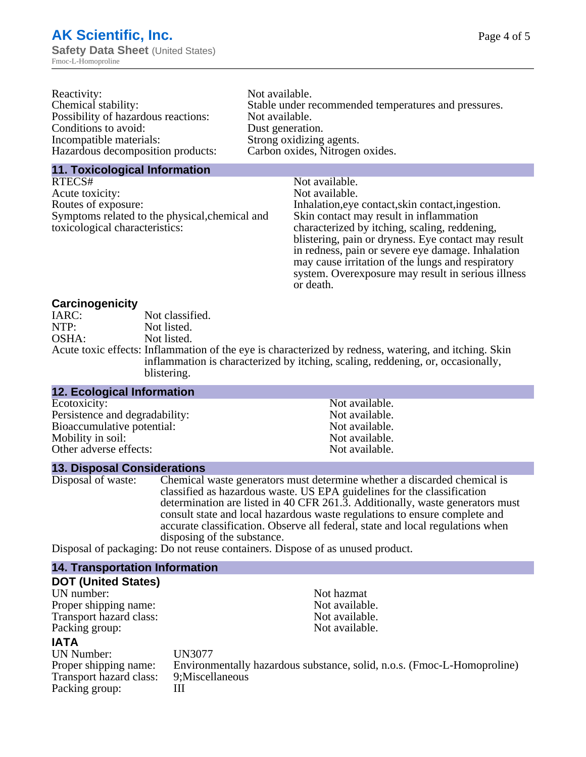| Reactivity:                         | Not available.                                       |
|-------------------------------------|------------------------------------------------------|
| Chemical stability:                 | Stable under recommended temperatures and pressures. |
| Possibility of hazardous reactions: | Not available.                                       |
| Conditions to avoid:                | Dust generation.                                     |
| Incompatible materials:             | Strong oxidizing agents.                             |
| Hazardous decomposition products:   | Carbon oxides, Nitrogen oxides.                      |
|                                     |                                                      |

# **11. Toxicological Information**

| RTECS#                                         | Not available.                                      |
|------------------------------------------------|-----------------------------------------------------|
| Acute toxicity:                                | Not available.                                      |
| Routes of exposure:                            | Inhalation, eye contact, skin contact, ingestion.   |
| Symptoms related to the physical, chemical and | Skin contact may result in inflammation             |
| toxicological characteristics:                 | characterized by itching, scaling, reddening,       |
|                                                | blistering, pain or dryness. Eye contact may result |
|                                                | in redness, pain or severe eye damage. Inhalation   |
|                                                | may cause irritation of the lungs and respiratory   |
|                                                | system. Overexposure may result in serious illness  |

or death.

# **Carcinogenicity**

| IARC: | Not classified.                                                                                       |
|-------|-------------------------------------------------------------------------------------------------------|
| NTP:  | Not listed.                                                                                           |
| OSHA: | Not listed.                                                                                           |
|       | Acute toxic effects: Inflammation of the eye is characterized by redness, watering, and itching. Skin |
|       | inflammation is characterized by itching, scaling, reddening, or, occasionally,                       |
|       | blistering.                                                                                           |

| <b>12. Ecological Information</b> |                |  |
|-----------------------------------|----------------|--|
| Ecotoxicity:                      | Not available. |  |
| Persistence and degradability:    | Not available. |  |
| Bioaccumulative potential:        | Not available. |  |
| Mobility in soil:                 | Not available. |  |
| Other adverse effects:            | Not available. |  |

## **13. Disposal Considerations**

| Disposal of waste: | Chemical waste generators must determine whether a discarded chemical is       |
|--------------------|--------------------------------------------------------------------------------|
|                    | classified as hazardous waste. US EPA guidelines for the classification        |
|                    | determination are listed in 40 CFR 261.3. Additionally, waste generators must  |
|                    | consult state and local hazardous waste regulations to ensure complete and     |
|                    | accurate classification. Observe all federal, state and local regulations when |
|                    | disposing of the substance.                                                    |
| $\mathbf{r}$ .     |                                                                                |

Disposal of packaging: Do not reuse containers. Dispose of as unused product.

| <b>14. Transportation Information</b> |                                                                         |
|---------------------------------------|-------------------------------------------------------------------------|
| <b>DOT (United States)</b>            |                                                                         |
| UN number:                            | Not hazmat                                                              |
| Proper shipping name:                 | Not available.                                                          |
| Transport hazard class:               | Not available.                                                          |
| Packing group:                        | Not available.                                                          |
| <b>IATA</b>                           |                                                                         |
| UN Number:                            | <b>UN3077</b>                                                           |
| Proper shipping name:                 | Environmentally hazardous substance, solid, n.o.s. (Fmoc-L-Homoproline) |
| Transport hazard class:               | 9; Miscellaneous                                                        |
| Packing group:                        | Ш                                                                       |
|                                       |                                                                         |